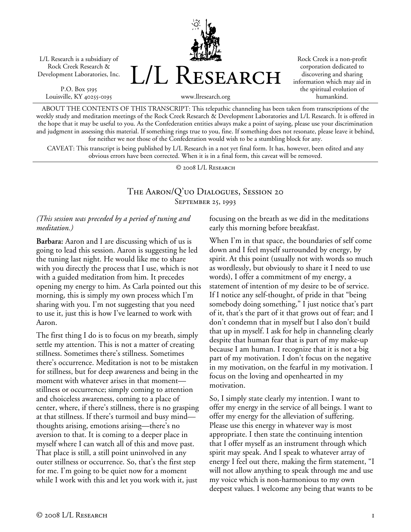L/L Research is a subsidiary of Rock Creek Research & Development Laboratories, Inc.

P.O. Box 5195 Louisville, KY 40255-0195 L/L Research

Rock Creek is a non-profit corporation dedicated to discovering and sharing information which may aid in the spiritual evolution of humankind.

www.llresearch.org

ABOUT THE CONTENTS OF THIS TRANSCRIPT: This telepathic channeling has been taken from transcriptions of the weekly study and meditation meetings of the Rock Creek Research & Development Laboratories and L/L Research. It is offered in the hope that it may be useful to you. As the Confederation entities always make a point of saying, please use your discrimination and judgment in assessing this material. If something rings true to you, fine. If something does not resonate, please leave it behind, for neither we nor those of the Confederation would wish to be a stumbling block for any.

CAVEAT: This transcript is being published by L/L Research in a not yet final form. It has, however, been edited and any obvious errors have been corrected. When it is in a final form, this caveat will be removed.

© 2008 L/L Research

# The Aaron/Q'uo Dialogues, Session 20 September 25, 1993

#### *(This session was preceded by a period of tuning and meditation.)*

**Barbara:** Aaron and I are discussing which of us is going to lead this session. Aaron is suggesting he led the tuning last night. He would like me to share with you directly the process that I use, which is not with a guided meditation from him. It precedes opening my energy to him. As Carla pointed out this morning, this is simply my own process which I'm sharing with you. I'm not suggesting that you need to use it, just this is how I've learned to work with Aaron.

The first thing I do is to focus on my breath, simply settle my attention. This is not a matter of creating stillness. Sometimes there's stillness. Sometimes there's occurrence. Meditation is not to be mistaken for stillness, but for deep awareness and being in the moment with whatever arises in that moment stillness or occurrence; simply coming to attention and choiceless awareness, coming to a place of center, where, if there's stillness, there is no grasping at that stillness. If there's turmoil and busy mind thoughts arising, emotions arising—there's no aversion to that. It is coming to a deeper place in myself where I can watch all of this and move past. That place is still, a still point uninvolved in any outer stillness or occurrence. So, that's the first step for me. I'm going to be quiet now for a moment while I work with this and let you work with it, just

focusing on the breath as we did in the meditations early this morning before breakfast.

When I'm in that space, the boundaries of self come down and I feel myself surrounded by energy, by spirit. At this point (usually not with words so much as wordlessly, but obviously to share it I need to use words), I offer a commitment of my energy, a statement of intention of my desire to be of service. If I notice any self-thought, of pride in that "being somebody doing something," I just notice that's part of it, that's the part of it that grows out of fear; and I don't condemn that in myself but I also don't build that up in myself. I ask for help in channeling clearly despite that human fear that is part of my make-up because I am human. I recognize that it is not a big part of my motivation. I don't focus on the negative in my motivation, on the fearful in my motivation. I focus on the loving and openhearted in my motivation.

So, I simply state clearly my intention. I want to offer my energy in the service of all beings. I want to offer my energy for the alleviation of suffering. Please use this energy in whatever way is most appropriate. I then state the continuing intention that I offer myself as an instrument through which spirit may speak. And I speak to whatever array of energy I feel out there, making the firm statement, "I will not allow anything to speak through me and use my voice which is non-harmonious to my own deepest values. I welcome any being that wants to be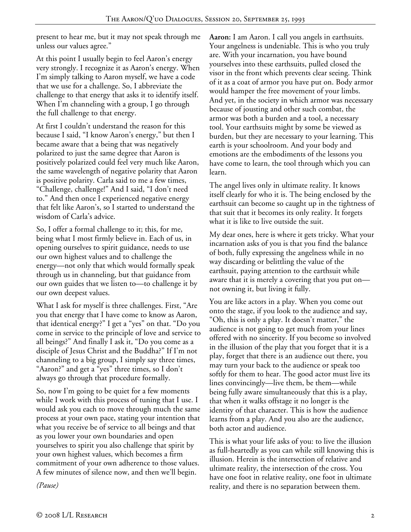present to hear me, but it may not speak through me unless our values agree."

At this point I usually begin to feel Aaron's energy very strongly. I recognize it as Aaron's energy. When I'm simply talking to Aaron myself, we have a code that we use for a challenge. So, I abbreviate the challenge to that energy that asks it to identify itself. When I'm channeling with a group, I go through the full challenge to that energy.

At first I couldn't understand the reason for this because I said, "I know Aaron's energy," but then I became aware that a being that was negatively polarized to just the same degree that Aaron is positively polarized could feel very much like Aaron, the same wavelength of negative polarity that Aaron is positive polarity. Carla said to me a few times, "Challenge, challenge!" And I said, "I don't need to." And then once I experienced negative energy that felt like Aaron's, so I started to understand the wisdom of Carla's advice.

So, I offer a formal challenge to it; this, for me, being what I most firmly believe in. Each of us, in opening ourselves to spirit guidance, needs to use our own highest values and to challenge the energy—not only that which would formally speak through us in channeling, but that guidance from our own guides that we listen to—to challenge it by our own deepest values.

What I ask for myself is three challenges. First, "Are you that energy that I have come to know as Aaron, that identical energy?" I get a "yes" on that. "Do you come in service to the principle of love and service to all beings?" And finally I ask it, "Do you come as a disciple of Jesus Christ and the Buddha?" If I'm not channeling to a big group, I simply say three times, "Aaron?" and get a "yes" three times, so I don't always go through that procedure formally.

So, now I'm going to be quiet for a few moments while I work with this process of tuning that I use. I would ask you each to move through much the same process at your own pace, stating your intention that what you receive be of service to all beings and that as you lower your own boundaries and open yourselves to spirit you also challenge that spirit by your own highest values, which becomes a firm commitment of your own adherence to those values. A few minutes of silence now, and then we'll begin.

*(Pause)* 

**Aaron:** I am Aaron. I call you angels in earthsuits. Your angelness is undeniable. This is who you truly are. With your incarnation, you have bound yourselves into these earthsuits, pulled closed the visor in the front which prevents clear seeing. Think of it as a coat of armor you have put on. Body armor would hamper the free movement of your limbs. And yet, in the society in which armor was necessary because of jousting and other such combat, the armor was both a burden and a tool, a necessary tool. Your earthsuits might by some be viewed as burden, but they are necessary to your learning. This earth is your schoolroom. And your body and emotions are the embodiments of the lessons you have come to learn, the tool through which you can learn.

The angel lives only in ultimate reality. It knows itself clearly for who it is. The being enclosed by the earthsuit can become so caught up in the tightness of that suit that it becomes its only reality. It forgets what it is like to live outside the suit.

My dear ones, here is where it gets tricky. What your incarnation asks of you is that you find the balance of both, fully expressing the angelness while in no way discarding or belittling the value of the earthsuit, paying attention to the earthsuit while aware that it is merely a covering that you put on not owning it, but living it fully.

You are like actors in a play. When you come out onto the stage, if you look to the audience and say, "Oh, this is only a play. It doesn't matter," the audience is not going to get much from your lines offered with no sincerity. If you become so involved in the illusion of the play that you forget that it is a play, forget that there is an audience out there, you may turn your back to the audience or speak too softly for them to hear. The good actor must live its lines convincingly—live them, be them—while being fully aware simultaneously that this is a play, that when it walks offstage it no longer is the identity of that character. This is how the audience learns from a play. And you also are the audience, both actor and audience.

This is what your life asks of you: to live the illusion as full-heartedly as you can while still knowing this is illusion. Herein is the intersection of relative and ultimate reality, the intersection of the cross. You have one foot in relative reality, one foot in ultimate reality, and there is no separation between them.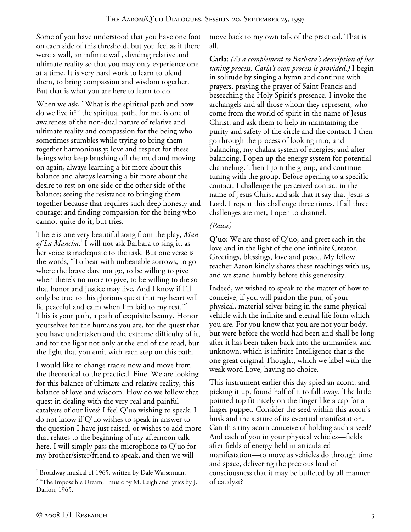Some of you have understood that you have one foot on each side of this threshold, but you feel as if there were a wall, an infinite wall, dividing relative and ultimate reality so that you may only experience one at a time. It is very hard work to learn to blend them, to bring compassion and wisdom together. But that is what you are here to learn to do.

When we ask, "What is the spiritual path and how do we live it?" the spiritual path, for me, is one of awareness of the non-dual nature of relative and ultimate reality and compassion for the being who sometimes stumbles while trying to bring them together harmoniously; love and respect for these beings who keep brushing off the mud and moving on again, always learning a bit more about this balance and always learning a bit more about the desire to rest on one side or the other side of the balance; seeing the resistance to bringing them together because that requires such deep honesty and courage; and finding compassion for the being who cannot quite do it, but tries.

There is one very beautiful song from the play, *Man of La Mancha*. 1 I will not ask Barbara to sing it, as her voice is inadequate to the task. But one verse is the words, "To bear with unbearable sorrows, to go where the brave dare not go, to be willing to give when there's no more to give, to be willing to die so that honor and justice may live. And I know if I'll only be true to this glorious quest that my heart will lie peaceful and calm when I'm laid to my rest." This is your path, a path of exquisite beauty. Honor yourselves for the humans you are, for the quest that you have undertaken and the extreme difficulty of it, and for the light not only at the end of the road, but the light that you emit with each step on this path.

I would like to change tracks now and move from the theoretical to the practical. Fine. We are looking for this balance of ultimate and relative reality, this balance of love and wisdom. How do we follow that quest in dealing with the very real and painful catalysts of our lives? I feel Q'uo wishing to speak. I do not know if Q'uo wishes to speak in answer to the question I have just raised, or wishes to add more that relates to the beginning of my afternoon talk here. I will simply pass the microphone to Q'uo for my brother/sister/friend to speak, and then we will

move back to my own talk of the practical. That is all.

**Carla:** *(As a complement to Barbara's description of her tuning process, Carla's own process is provided.)* I begin in solitude by singing a hymn and continue with prayers, praying the prayer of Saint Francis and beseeching the Holy Spirit's presence. I invoke the archangels and all those whom they represent, who come from the world of spirit in the name of Jesus Christ, and ask them to help in maintaining the purity and safety of the circle and the contact. I then go through the process of looking into, and balancing, my chakra system of energies; and after balancing, I open up the energy system for potential channeling. Then I join the group, and continue tuning with the group. Before opening to a specific contact, I challenge the perceived contact in the name of Jesus Christ and ask that it say that Jesus is Lord. I repeat this challenge three times. If all three challenges are met, I open to channel.

#### *(Pause)*

**Q'uo:** We are those of Q'uo, and greet each in the love and in the light of the one infinite Creator. Greetings, blessings, love and peace. My fellow teacher Aaron kindly shares these teachings with us, and we stand humbly before this generosity.

Indeed, we wished to speak to the matter of how to conceive, if you will pardon the pun, of your physical, material selves being in the same physical vehicle with the infinite and eternal life form which you are. For you know that you are not your body, but were before the world had been and shall be long after it has been taken back into the unmanifest and unknown, which is infinite Intelligence that is the one great original Thought, which we label with the weak word Love, having no choice.

This instrument earlier this day spied an acorn, and picking it up, found half of it to fall away. The little pointed top fit nicely on the finger like a cap for a finger puppet. Consider the seed within this acorn's husk and the stature of its eventual manifestation. Can this tiny acorn conceive of holding such a seed? And each of you in your physical vehicles—fields after fields of energy held in articulated manifestation—to move as vehicles do through time and space, delivering the precious load of consciousness that it may be buffeted by all manner of catalyst?

 $\overline{a}$  $1$  Broadway musical of 1965, written by Dale Wasserman.

<sup>&</sup>lt;sup>2</sup> "The Impossible Dream," music by M. Leigh and lyrics by J. Darion, 1965.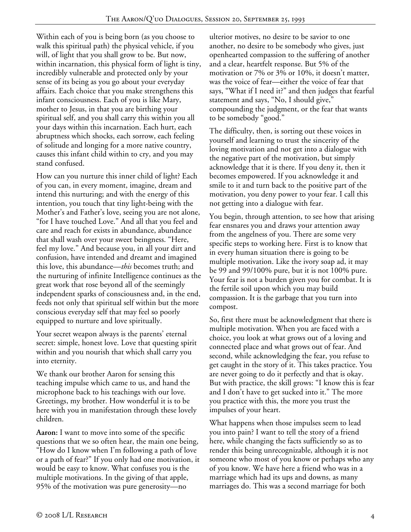Within each of you is being born (as you choose to walk this spiritual path) the physical vehicle, if you will, of light that you shall grow to be. But now, within incarnation, this physical form of light is tiny, incredibly vulnerable and protected only by your sense of its being as you go about your everyday affairs. Each choice that you make strengthens this infant consciousness. Each of you is like Mary, mother to Jesus, in that you are birthing your spiritual self, and you shall carry this within you all your days within this incarnation. Each hurt, each abruptness which shocks, each sorrow, each feeling of solitude and longing for a more native country, causes this infant child within to cry, and you may stand confused.

How can you nurture this inner child of light? Each of you can, in every moment, imagine, dream and intend this nurturing; and with the energy of this intention, you touch that tiny light-being with the Mother's and Father's love, seeing you are not alone, "for I have touched Love." And all that you feel and care and reach for exists in abundance, abundance that shall wash over your sweet beingness. "Here, feel my love." And because you, in all your dirt and confusion, have intended and dreamt and imagined this love, this abundance—*this* becomes truth; and the nurturing of infinite Intelligence continues as the great work that rose beyond all of the seemingly independent sparks of consciousness and, in the end, feeds not only that spiritual self within but the more conscious everyday self that may feel so poorly equipped to nurture and love spiritually.

Your secret weapon always is the parents' eternal secret: simple, honest love. Love that questing spirit within and you nourish that which shall carry you into eternity.

We thank our brother Aaron for sensing this teaching impulse which came to us, and hand the microphone back to his teachings with our love. Greetings, my brother. How wonderful it is to be here with you in manifestation through these lovely children.

**Aaron:** I want to move into some of the specific questions that we so often hear, the main one being, "How do I know when I'm following a path of love or a path of fear?" If you only had one motivation, it would be easy to know. What confuses you is the multiple motivations. In the giving of that apple, 95% of the motivation was pure generosity—no

ulterior motives, no desire to be savior to one another, no desire to be somebody who gives, just openhearted compassion to the suffering of another and a clear, heartfelt response. But 5% of the motivation or 7% or 3% or 10%, it doesn't matter, was the voice of fear—either the voice of fear that says, "What if I need it?" and then judges that fearful statement and says, "No, I should give," compounding the judgment, or the fear that wants to be somebody "good."

The difficulty, then, is sorting out these voices in yourself and learning to trust the sincerity of the loving motivation and not get into a dialogue with the negative part of the motivation, but simply acknowledge that it is there. If you deny it, then it becomes empowered. If you acknowledge it and smile to it and turn back to the positive part of the motivation, you deny power to your fear. I call this not getting into a dialogue with fear.

You begin, through attention, to see how that arising fear ensnares you and draws your attention away from the angelness of you. There are some very specific steps to working here. First is to know that in every human situation there is going to be multiple motivation. Like the ivory soap ad, it may be 99 and 99/100% pure, but it is not 100% pure. Your fear is not a burden given you for combat. It is the fertile soil upon which you may build compassion. It is the garbage that you turn into compost.

So, first there must be acknowledgment that there is multiple motivation. When you are faced with a choice, you look at what grows out of a loving and connected place and what grows out of fear. And second, while acknowledging the fear, you refuse to get caught in the story of it. This takes practice. You are never going to do it perfectly and that is okay. But with practice, the skill grows: "I know this is fear and I don't have to get sucked into it." The more you practice with this, the more you trust the impulses of your heart.

What happens when those impulses seem to lead you into pain? I want to tell the story of a friend here, while changing the facts sufficiently so as to render this being unrecognizable, although it is not someone who most of you know or perhaps who any of you know. We have here a friend who was in a marriage which had its ups and downs, as many marriages do. This was a second marriage for both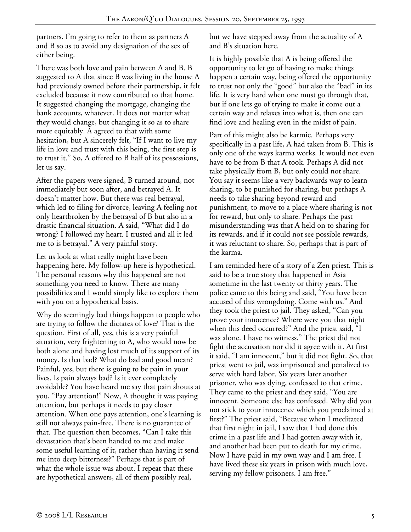partners. I'm going to refer to them as partners A and B so as to avoid any designation of the sex of either being.

There was both love and pain between A and B. B suggested to A that since B was living in the house A had previously owned before their partnership, it felt excluded because it now contributed to that home. It suggested changing the mortgage, changing the bank accounts, whatever. It does not matter what they would change, but changing it so as to share more equitably. A agreed to that with some hesitation, but A sincerely felt, "If I want to live my life in love and trust with this being, the first step is to trust it." So, A offered to B half of its possessions, let us say.

After the papers were signed, B turned around, not immediately but soon after, and betrayed A. It doesn't matter how. But there was real betrayal, which led to filing for divorce, leaving A feeling not only heartbroken by the betrayal of B but also in a drastic financial situation. A said, "What did I do wrong? I followed my heart. I trusted and all it led me to is betrayal." A very painful story.

Let us look at what really might have been happening here. My follow-up here is hypothetical. The personal reasons why this happened are not something you need to know. There are many possibilities and I would simply like to explore them with you on a hypothetical basis.

Why do seemingly bad things happen to people who are trying to follow the dictates of love? That is the question. First of all, yes, this is a very painful situation, very frightening to A, who would now be both alone and having lost much of its support of its money. Is that bad? What do bad and good mean? Painful, yes, but there is going to be pain in your lives. Is pain always bad? Is it ever completely avoidable? You have heard me say that pain shouts at you, "Pay attention!" Now, A thought it was paying attention, but perhaps it needs to pay closer attention. When one pays attention, one's learning is still not always pain-free. There is no guarantee of that. The question then becomes, "Can I take this devastation that's been handed to me and make some useful learning of it, rather than having it send me into deep bitterness?" Perhaps that is part of what the whole issue was about. I repeat that these are hypothetical answers, all of them possibly real,

but we have stepped away from the actuality of A and B's situation here.

It is highly possible that A is being offered the opportunity to let go of having to make things happen a certain way, being offered the opportunity to trust not only the "good" but also the "bad" in its life. It is very hard when one must go through that, but if one lets go of trying to make it come out a certain way and relaxes into what is, then one can find love and healing even in the midst of pain.

Part of this might also be karmic. Perhaps very specifically in a past life, A had taken from B. This is only one of the ways karma works. It would not even have to be from B that A took. Perhaps A did not take physically from B, but only could not share. You say it seems like a very backwards way to learn sharing, to be punished for sharing, but perhaps A needs to take sharing beyond reward and punishment, to move to a place where sharing is not for reward, but only to share. Perhaps the past misunderstanding was that A held on to sharing for its rewards, and if it could not see possible rewards, it was reluctant to share. So, perhaps that is part of the karma.

I am reminded here of a story of a Zen priest. This is said to be a true story that happened in Asia sometime in the last twenty or thirty years. The police came to this being and said, "You have been accused of this wrongdoing. Come with us." And they took the priest to jail. They asked, "Can you prove your innocence? Where were you that night when this deed occurred?" And the priest said, "I was alone. I have no witness." The priest did not fight the accusation nor did it agree with it. At first it said, "I am innocent," but it did not fight. So, that priest went to jail, was imprisoned and penalized to serve with hard labor. Six years later another prisoner, who was dying, confessed to that crime. They came to the priest and they said, "You are innocent. Someone else has confessed. Why did you not stick to your innocence which you proclaimed at first?" The priest said, "Because when I meditated that first night in jail, I saw that I had done this crime in a past life and I had gotten away with it, and another had been put to death for my crime. Now I have paid in my own way and I am free. I have lived these six years in prison with much love, serving my fellow prisoners. I am free."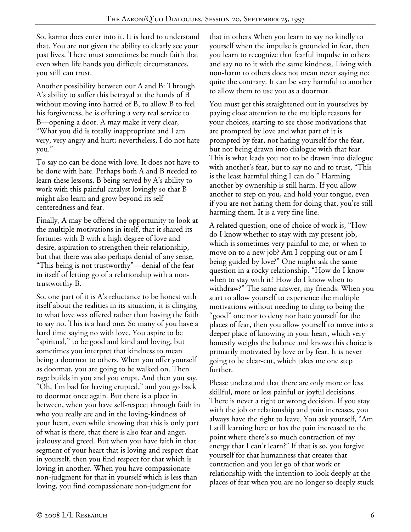So, karma does enter into it. It is hard to understand that. You are not given the ability to clearly see your past lives. There must sometimes be much faith that even when life hands you difficult circumstances, you still can trust.

Another possibility between our A and B: Through A's ability to suffer this betrayal at the hands of B without moving into hatred of B, to allow B to feel his forgiveness, he is offering a very real service to B—opening a door. A may make it very clear, "What you did is totally inappropriate and I am very, very angry and hurt; nevertheless, I do not hate you."

To say no can be done with love. It does not have to be done with hate. Perhaps both A and B needed to learn these lessons, B being served by A's ability to work with this painful catalyst lovingly so that B might also learn and grow beyond its selfcenteredness and fear.

Finally, A may be offered the opportunity to look at the multiple motivations in itself, that it shared its fortunes with B with a high degree of love and desire, aspiration to strengthen their relationship, but that there was also perhaps denial of any sense, "This being is not trustworthy"—denial of the fear in itself of letting go of a relationship with a nontrustworthy B.

So, one part of it is A's reluctance to be honest with itself about the realities in its situation, it is clinging to what love was offered rather than having the faith to say no. This is a hard one. So many of you have a hard time saying no with love. You aspire to be "spiritual," to be good and kind and loving, but sometimes you interpret that kindness to mean being a doormat to others. When you offer yourself as doormat, you are going to be walked on. Then rage builds in you and you erupt. And then you say, "Oh, I'm bad for having erupted," and you go back to doormat once again. But there is a place in between, when you have self-respect through faith in who you really are and in the loving-kindness of your heart, even while knowing that this is only part of what is there, that there is also fear and anger, jealousy and greed. But when you have faith in that segment of your heart that is loving and respect that in yourself, then you find respect for that which is loving in another. When you have compassionate non-judgment for that in yourself which is less than loving, you find compassionate non-judgment for

that in others When you learn to say no kindly to yourself when the impulse is grounded in fear, then you learn to recognize that fearful impulse in others and say no to it with the same kindness. Living with non-harm to others does not mean never saying no; quite the contrary. It can be very harmful to another to allow them to use you as a doormat.

You must get this straightened out in yourselves by paying close attention to the multiple reasons for your choices, starting to see those motivations that are prompted by love and what part of it is prompted by fear, not hating yourself for the fear, but not being drawn into dialogue with that fear. This is what leads you not to be drawn into dialogue with another's fear, but to say no and to trust, "This is the least harmful thing I can do." Harming another by ownership is still harm. If you allow another to step on you, and hold your tongue, even if you are not hating them for doing that, you're still harming them. It is a very fine line.

A related question, one of choice of work is, "How do I know whether to stay with my present job, which is sometimes very painful to me, or when to move on to a new job? Am I copping out or am I being guided by love?" One might ask the same question in a rocky relationship. "How do I know when to stay with it? How do I know when to withdraw?" The same answer, my friends: When you start to allow yourself to experience the multiple motivations without needing to cling to being the "good" one nor to deny nor hate yourself for the places of fear, then you allow yourself to move into a deeper place of knowing in your heart, which very honestly weighs the balance and knows this choice is primarily motivated by love or by fear. It is never going to be clear-cut, which takes me one step further.

Please understand that there are only more or less skillful, more or less painful or joyful decisions. There is never a right or wrong decision. If you stay with the job or relationship and pain increases, you always have the right to leave. You ask yourself, "Am I still learning here or has the pain increased to the point where there's so much contraction of my energy that I can't learn?" If that is so, you forgive yourself for that humanness that creates that contraction and you let go of that work or relationship with the intention to look deeply at the places of fear when you are no longer so deeply stuck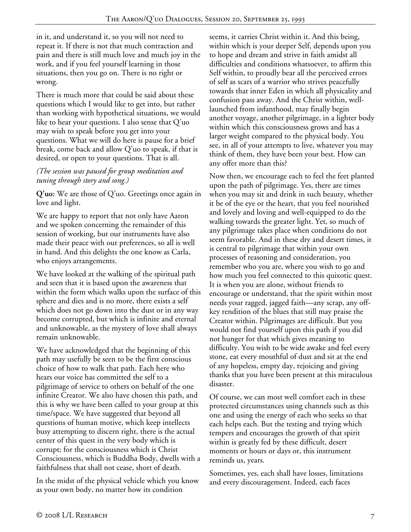in it, and understand it, so you will not need to repeat it. If there is not that much contraction and pain and there is still much love and much joy in the work, and if you feel yourself learning in those situations, then you go on. There is no right or wrong.

There is much more that could be said about these questions which I would like to get into, but rather than working with hypothetical situations, we would like to hear your questions. I also sense that Q'uo may wish to speak before you get into your questions. What we will do here is pause for a brief break, come back and allow Q'uo to speak, if that is desired, or open to your questions. That is all.

#### *(The session was paused for group meditation and tuning through story and song.)*

**Q'uo:** We are those of Q'uo. Greetings once again in love and light.

We are happy to report that not only have Aaron and we spoken concerning the remainder of this session of working, but our instruments have also made their peace with our preferences, so all is well in hand. And this delights the one know as Carla, who enjoys arrangements.

We have looked at the walking of the spiritual path and seen that it is based upon the awareness that within the form which walks upon the surface of this sphere and dies and is no more, there exists a self which does not go down into the dust or in any way become corrupted, but which is infinite and eternal and unknowable, as the mystery of love shall always remain unknowable.

We have acknowledged that the beginning of this path may usefully be seen to be the first conscious choice of how to walk that path. Each here who hears our voice has committed the self to a pilgrimage of service to others on behalf of the one infinite Creator. We also have chosen this path, and this is why we have been called to your group at this time/space. We have suggested that beyond all questions of human motive, which keep intellects busy attempting to discern right, there is the actual center of this quest in the very body which is corrupt; for the consciousness which is Christ Consciousness, which is Buddha Body, dwells with a faithfulness that shall not cease, short of death.

In the midst of the physical vehicle which you know as your own body, no matter how its condition

seems, it carries Christ within it. And this being, within which is your deeper Self, depends upon you to hope and dream and strive in faith amidst all difficulties and conditions whatsoever, to affirm this Self within, to proudly bear all the perceived errors of self as scars of a warrior who strives peacefully towards that inner Eden in which all physicality and confusion pass away. And the Christ within, welllaunched from infanthood, may finally begin another voyage, another pilgrimage, in a lighter body within which this consciousness grows and has a larger weight compared to the physical body. You see, in all of your attempts to live, whatever you may think of them, they have been your best. How can any offer more than this?

Now then, we encourage each to feel the feet planted upon the path of pilgrimage. Yes, there are times when you may sit and drink in such beauty, whether it be of the eye or the heart, that you feel nourished and lovely and loving and well-equipped to do the walking towards the greater light. Yet, so much of any pilgrimage takes place when conditions do not seem favorable. And in these dry and desert times, it is central to pilgrimage that within your own processes of reasoning and consideration, you remember who you are, where you wish to go and how much you feel connected to this quixotic quest. It is when you are alone, without friends to encourage or understand, that the spirit within most needs your ragged, jagged faith—any scrap, any offkey rendition of the blues that still may praise the Creator within. Pilgrimages are difficult. But you would not find yourself upon this path if you did not hunger for that which gives meaning to difficulty. You wish to be wide awake and feel every stone, eat every mouthful of dust and sit at the end of any hopeless, empty day, rejoicing and giving thanks that you have been present at this miraculous disaster.

Of course, we can most well comfort each in these protected circumstances using channels such as this one and using the energy of each who seeks so that each helps each. But the testing and trying which tempers and encourages the growth of that spirit within is greatly fed by these difficult, desert moments or hours or days or, this instrument reminds us, years.

Sometimes, yes, each shall have losses, limitations and every discouragement. Indeed, each faces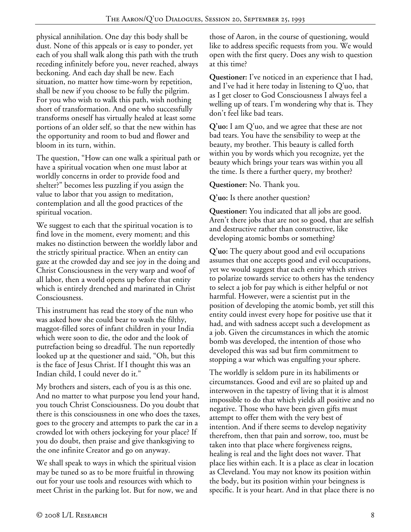physical annihilation. One day this body shall be dust. None of this appeals or is easy to ponder, yet each of you shall walk along this path with the truth receding infinitely before you, never reached, always beckoning. And each day shall be new. Each situation, no matter how time-worn by repetition, shall be new if you choose to be fully the pilgrim. For you who wish to walk this path, wish nothing short of transformation. And one who successfully transforms oneself has virtually healed at least some portions of an older self, so that the new within has the opportunity and room to bud and flower and bloom in its turn, within.

The question, "How can one walk a spiritual path or have a spiritual vocation when one must labor at worldly concerns in order to provide food and shelter?" becomes less puzzling if you assign the value to labor that you assign to meditation, contemplation and all the good practices of the spiritual vocation.

We suggest to each that the spiritual vocation is to find love in the moment, every moment; and this makes no distinction between the worldly labor and the strictly spiritual practice. When an entity can gaze at the crowded day and see joy in the doing and Christ Consciousness in the very warp and woof of all labor, then a world opens up before that entity which is entirely drenched and marinated in Christ Consciousness.

This instrument has read the story of the nun who was asked how she could bear to wash the filthy, maggot-filled sores of infant children in your India which were soon to die, the odor and the look of putrefaction being so dreadful. The nun reportedly looked up at the questioner and said, "Oh, but this is the face of Jesus Christ. If I thought this was an Indian child, I could never do it."

My brothers and sisters, each of you is as this one. And no matter to what purpose you lend your hand, you touch Christ Consciousness. Do you doubt that there is this consciousness in one who does the taxes, goes to the grocery and attempts to park the car in a crowded lot with others jockeying for your place? If you do doubt, then praise and give thanksgiving to the one infinite Creator and go on anyway.

We shall speak to ways in which the spiritual vision may be tuned so as to be more fruitful in throwing out for your use tools and resources with which to meet Christ in the parking lot. But for now, we and those of Aaron, in the course of questioning, would like to address specific requests from you. We would open with the first query. Does any wish to question at this time?

**Questioner:** I've noticed in an experience that I had, and I've had it here today in listening to Q'uo, that as I get closer to God Consciousness I always feel a welling up of tears. I'm wondering why that is. They don't feel like bad tears.

**Q'uo:** I am Q'uo, and we agree that these are not bad tears. You have the sensibility to weep at the beauty, my brother. This beauty is called forth within you by words which you recognize, yet the beauty which brings your tears was within you all the time. Is there a further query, my brother?

**Questioner:** No. Thank you.

**Q'uo:** Is there another question?

**Questioner:** You indicated that all jobs are good. Aren't there jobs that are not so good, that are selfish and destructive rather than constructive, like developing atomic bombs or something?

**Q'uo:** The query about good and evil occupations assumes that one accepts good and evil occupations, yet we would suggest that each entity which strives to polarize towards service to others has the tendency to select a job for pay which is either helpful or not harmful. However, were a scientist put in the position of developing the atomic bomb, yet still this entity could invest every hope for positive use that it had, and with sadness accept such a development as a job. Given the circumstances in which the atomic bomb was developed, the intention of those who developed this was sad but firm commitment to stopping a war which was engulfing your sphere.

The worldly is seldom pure in its habiliments or circumstances. Good and evil are so plaited up and interwoven in the tapestry of living that it is almost impossible to do that which yields all positive and no negative. Those who have been given gifts must attempt to offer them with the very best of intention. And if there seems to develop negativity therefrom, then that pain and sorrow, too, must be taken into that place where forgiveness reigns, healing is real and the light does not waver. That place lies within each. It is a place as clear in location as Cleveland. You may not know its position within the body, but its position within your beingness is specific. It is your heart. And in that place there is no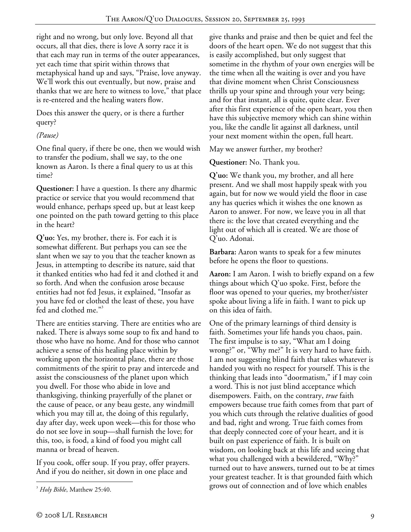right and no wrong, but only love. Beyond all that occurs, all that dies, there is love A sorry race it is that each may run in terms of the outer appearances, yet each time that spirit within throws that metaphysical hand up and says, "Praise, love anyway. We'll work this out eventually, but now, praise and thanks that we are here to witness to love," that place is re-entered and the healing waters flow.

Does this answer the query, or is there a further query?

## *(Pause)*

One final query, if there be one, then we would wish to transfer the podium, shall we say, to the one known as Aaron. Is there a final query to us at this time?

**Questioner:** I have a question. Is there any dharmic practice or service that you would recommend that would enhance, perhaps speed up, but at least keep one pointed on the path toward getting to this place in the heart?

**Q'uo:** Yes, my brother, there is. For each it is somewhat different. But perhaps you can see the slant when we say to you that the teacher known as Jesus, in attempting to describe its nature, said that it thanked entities who had fed it and clothed it and so forth. And when the confusion arose because entities had not fed Jesus, it explained, "Insofar as you have fed or clothed the least of these, you have fed and clothed me."3

There are entities starving. There are entities who are naked. There is always some soup to fix and hand to those who have no home. And for those who cannot achieve a sense of this healing place within by working upon the horizontal plane, there are those commitments of the spirit to pray and intercede and assist the consciousness of the planet upon which you dwell. For those who abide in love and thanksgiving, thinking prayerfully of the planet or the cause of peace, or any beau geste, any windmill which you may till at, the doing of this regularly, day after day, week upon week—this for those who do not see love in soup—shall furnish the love; for this, too, is food, a kind of food you might call manna or bread of heaven.

If you cook, offer soup. If you pray, offer prayers. And if you do neither, sit down in one place and

give thanks and praise and then be quiet and feel the doors of the heart open. We do not suggest that this is easily accomplished, but only suggest that sometime in the rhythm of your own energies will be the time when all the waiting is over and you have that divine moment when Christ Consciousness thrills up your spine and through your very being; and for that instant, all is quite, quite clear. Ever after this first experience of the open heart, you then have this subjective memory which can shine within you, like the candle lit against all darkness, until your next moment within the open, full heart.

May we answer further, my brother?

**Questioner:** No. Thank you.

**Q'uo:** We thank you, my brother, and all here present. And we shall most happily speak with you again, but for now we would yield the floor in case any has queries which it wishes the one known as Aaron to answer. For now, we leave you in all that there is: the love that created everything and the light out of which all is created. We are those of Q'uo. Adonai.

**Barbara:** Aaron wants to speak for a few minutes before he opens the floor to questions.

**Aaron:** I am Aaron. I wish to briefly expand on a few things about which Q'uo spoke. First, before the floor was opened to your queries, my brother/sister spoke about living a life in faith. I want to pick up on this idea of faith.

One of the primary learnings of third density is faith. Sometimes your life hands you chaos, pain. The first impulse is to say, "What am I doing wrong?" or, "Why me?" It is very hard to have faith. I am not suggesting blind faith that takes whatever is handed you with no respect for yourself. This is the thinking that leads into "doormatism," if I may coin a word. This is not just blind acceptance which disempowers. Faith, on the contrary, *true* faith empowers because true faith comes from that part of you which cuts through the relative dualities of good and bad, right and wrong. True faith comes from that deeply connected core of your heart, and it is built on past experience of faith. It is built on wisdom, on looking back at this life and seeing that what you challenged with a bewildered, "Why?" turned out to have answers, turned out to be at times your greatest teacher. It is that grounded faith which grows out of connection and of love which enables

<sup>-</sup><sup>3</sup> *Holy Bible*, Matthew 25:40.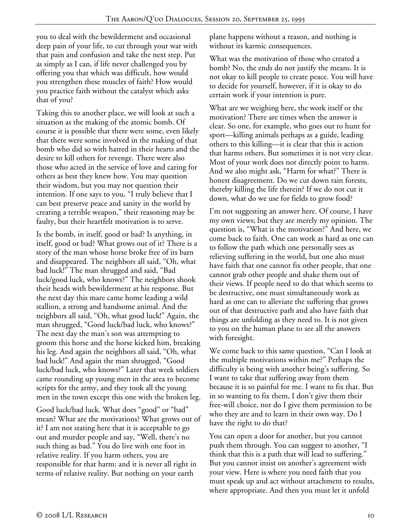you to deal with the bewilderment and occasional deep pain of your life, to cut through your war with that pain and confusion and take the next step. Put as simply as I can, if life never challenged you by offering you that which was difficult, how would you strengthen these muscles of faith? How would you practice faith without the catalyst which asks that of you?

Taking this to another place, we will look at such a situation as the making of the atomic bomb. Of course it is possible that there were some, even likely that there were some involved in the making of that bomb who did so with hatred in their hearts and the desire to kill others for revenge. There were also those who acted in the service of love and caring for others as best they knew how. You may question their wisdom, but you may not question their intention. If one says to you, "I truly believe that I can best preserve peace and sanity in the world by creating a terrible weapon," their reasoning may be faulty, but their heartfelt motivation is to serve.

Is the bomb, in itself, good or bad? Is anything, in itself, good or bad? What grows out of it? There is a story of the man whose horse broke free of its barn and disappeared. The neighbors all said, "Oh, what bad luck!" The man shrugged and said, "Bad luck/good luck, who knows?" The neighbors shook their heads with bewilderment at his response. But the next day this mare came home leading a wild stallion, a strong and handsome animal. And the neighbors all said, "Oh, what good luck!" Again, the man shrugged, "Good luck/bad luck, who knows?" The next day the man's son was attempting to groom this horse and the horse kicked him, breaking his leg. And again the neighbors all said, "Oh, what bad luck!" And again the man shrugged, "Good luck/bad luck, who knows?" Later that week soldiers came rounding up young men in the area to become scripts for the army, and they took all the young men in the town except this one with the broken leg.

Good luck/bad luck. What does "good" or "bad" mean? What are the motivations? What grows out of it? I am not stating here that it is acceptable to go out and murder people and say, "Well, there's no such thing as bad." You do live with one foot in relative reality. If you harm others, you are responsible for that harm; and it is never all right in terms of relative reality. But nothing on your earth

plane happens without a reason, and nothing is without its karmic consequences.

What was the motivation of those who created a bomb? No, the ends do not justify the means. It is not okay to kill people to create peace. You will have to decide for yourself, however, if it is okay to do certain work if your intention is pure.

What are we weighing here, the work itself or the motivation? There are times when the answer is clear. So one, for example, who goes out to hunt for sport—killing animals perhaps as a guide, leading others to this killing—it is clear that this is action that harms others. But sometimes it is not very clear. Most of your work does not directly point to harm. And we also might ask, "Harm for what?" There is honest disagreement. Do we cut down rain forests, thereby killing the life therein? If we do not cut it down, what do we use for fields to grow food?

I'm not suggesting an answer here. Of course, I have my own views; but they are merely my opinion. The question is, "What is the motivation?" And here, we come back to faith. One can work as hard as one can to follow the path which one personally sees as relieving suffering in the world, but one also must have faith that one cannot fix other people, that one cannot grab other people and shake them out of their views. If people need to do that which seems to be destructive, one must simultaneously work as hard as one can to alleviate the suffering that grows out of that destructive path and also have faith that things are unfolding as they need to. It is not given to you on the human plane to see all the answers with foresight.

We come back to this same question, "Can I look at the multiple motivations within me?" Perhaps the difficulty is being with another being's suffering. So I want to take that suffering away from them because it is so painful for me. I want to fix that. But in so wanting to fix them, I don't give them their free-will choice, nor do I give them permission to be who they are and to learn in their own way. Do I have the right to do that?

You can open a door for another, but you cannot push them through. You can suggest to another, "I think that this is a path that will lead to suffering." But you cannot insist on another's agreement with your view. Here is where you need faith that you must speak up and act without attachment to results, where appropriate. And then you must let it unfold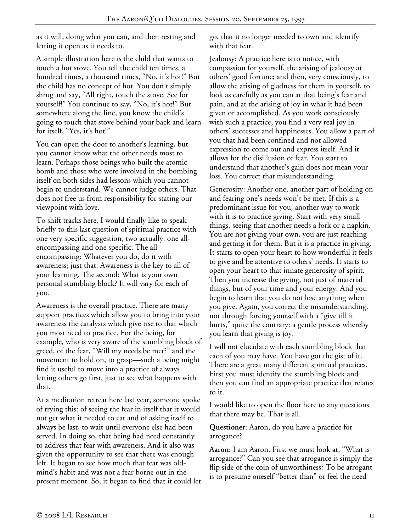as it will, doing what you can, and then resting and letting it open as it needs to.

A simple illustration here is the child that wants to touch a hot stove. You tell the child ten times, a hundred times, a thousand times, "No, it's hot!" But the child has no concept of hot. You don't simply shrug and say, "All right, touch the stove. See for yourself!" You continue to say, "No, it's hot!" But somewhere along the line, you know the child's going to touch that stove behind your back and learn for itself, "Yes, it's hot!"

You can open the door to another's learning, but you cannot know what the other needs most to learn. Perhaps those beings who built the atomic bomb and those who were involved in the bombing itself on both sides had lessons which you cannot begin to understand. We cannot judge others. That does not free us from responsibility for stating our viewpoint with love.

To shift tracks here, I would finally like to speak briefly to this last question of spiritual practice with one very specific suggestion, two actually: one allencompassing and one specific. The allencompassing: Whatever you do, do it with awareness; just that. Awareness is the key to all of your learning. The second: What is your own personal stumbling block? It will vary for each of you.

Awareness is the overall practice. There are many support practices which allow you to bring into your awareness the catalysts which give rise to that which you most need to practice. For the being, for example, who is very aware of the stumbling block of greed, of the fear, "Will my needs be met?" and the movement to hold on, to grasp—such a being might find it useful to move into a practice of always letting others go first, just to see what happens with that.

At a meditation retreat here last year, someone spoke of trying this: of seeing the fear in itself that it would not get what it needed to eat and of asking itself to always be last, to wait until everyone else had been served. In doing so, that being had need constantly to address that fear with awareness. And it also was given the opportunity to see that there was enough left. It began to see how much that fear was oldmind's habit and was not a fear borne out in the present moment. So, it began to find that it could let go, that it no longer needed to own and identify with that fear.

Jealousy: A practice here is to notice, with compassion for yourself, the arising of jealousy at others' good fortune; and then, very consciously, to allow the arising of gladness for them in yourself, to look as carefully as you can at that being's fear and pain, and at the arising of joy in what it had been given or accomplished. As you work consciously with such a practice, you find a very real joy in others' successes and happinesses. You allow a part of you that had been confined and not allowed expression to come out and express itself. And it allows for the disillusion of fear. You start to understand that another's gain does not mean your loss. You correct that misunderstanding.

Generosity: Another one, another part of holding on and fearing one's needs won't be met. If this is a predominant issue for you, another way to work with it is to practice giving. Start with very small things, seeing that another needs a fork or a napkin. You are not giving your own, you are just reaching and getting it for them. But it is a practice in giving. It starts to open your heart to how wonderful it feels to give and be attentive to others' needs. It starts to open your heart to that innate generosity of spirit. Then you increase the giving, not just of material things, but of your time and your energy. And you begin to learn that you do not lose anything when you give. Again, you correct the misunderstanding, not through forcing yourself with a "give till it hurts," quite the contrary: a gentle process whereby you learn that giving is joy.

I will not elucidate with each stumbling block that each of you may have. You have got the gist of it. There are a great many different spiritual practices. First you must identify the stumbling block and then you can find an appropriate practice that relates to it.

I would like to open the floor here to any questions that there may be. That is all.

**Questioner:** Aaron, do you have a practice for arrogance?

**Aaron:** I am Aaron. First we must look at, "What is arrogance?" Can you see that arrogance is simply the flip side of the coin of unworthiness? To be arrogant is to presume oneself "better than" or feel the need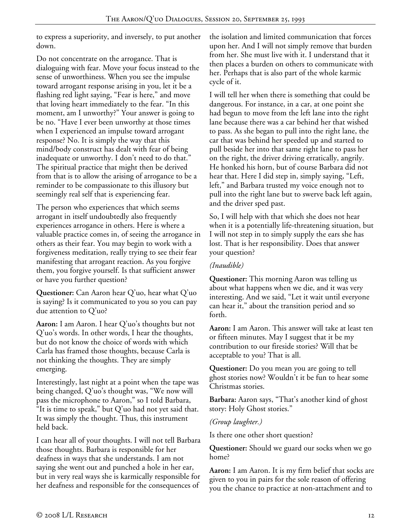to express a superiority, and inversely, to put another down.

Do not concentrate on the arrogance. That is dialoguing with fear. Move your focus instead to the sense of unworthiness. When you see the impulse toward arrogant response arising in you, let it be a flashing red light saying, "Fear is here," and move that loving heart immediately to the fear. "In this moment, am I unworthy?" Your answer is going to be no. "Have I ever been unworthy at those times when I experienced an impulse toward arrogant response? No. It is simply the way that this mind/body construct has dealt with fear of being inadequate or unworthy. I don't need to do that." The spiritual practice that might then be derived from that is to allow the arising of arrogance to be a reminder to be compassionate to this illusory but seemingly real self that is experiencing fear.

The person who experiences that which seems arrogant in itself undoubtedly also frequently experiences arrogance in others. Here is where a valuable practice comes in, of seeing the arrogance in others as their fear. You may begin to work with a forgiveness meditation, really trying to see their fear manifesting that arrogant reaction. As you forgive them, you forgive yourself. Is that sufficient answer or have you further question?

**Questioner:** Can Aaron hear Q'uo, hear what Q'uo is saying? Is it communicated to you so you can pay due attention to Q'uo?

**Aaron:** I am Aaron. I hear Q'uo's thoughts but not Q'uo's words. In other words, I hear the thoughts, but do not know the choice of words with which Carla has framed those thoughts, because Carla is not thinking the thoughts. They are simply emerging.

Interestingly, last night at a point when the tape was being changed, Q'uo's thought was, "We now will pass the microphone to Aaron," so I told Barbara, "It is time to speak," but  $Q'$ uo had not yet said that. It was simply the thought. Thus, this instrument held back.

I can hear all of your thoughts. I will not tell Barbara those thoughts. Barbara is responsible for her deafness in ways that she understands. I am not saying she went out and punched a hole in her ear, but in very real ways she is karmically responsible for her deafness and responsible for the consequences of

the isolation and limited communication that forces upon her. And I will not simply remove that burden from her. She must live with it. I understand that it then places a burden on others to communicate with her. Perhaps that is also part of the whole karmic cycle of it.

I will tell her when there is something that could be dangerous. For instance, in a car, at one point she had begun to move from the left lane into the right lane because there was a car behind her that wished to pass. As she began to pull into the right lane, the car that was behind her speeded up and started to pull beside her into that same right lane to pass her on the right, the driver driving erratically, angrily. He honked his horn, but of course Barbara did not hear that. Here I did step in, simply saying, "Left, left," and Barbara trusted my voice enough not to pull into the right lane but to swerve back left again, and the driver sped past.

So, I will help with that which she does not hear when it is a potentially life-threatening situation, but I will not step in to simply supply the ears she has lost. That is her responsibility. Does that answer your question?

#### *(Inaudible)*

**Questioner:** This morning Aaron was telling us about what happens when we die, and it was very interesting. And we said, "Let it wait until everyone can hear it," about the transition period and so forth.

**Aaron:** I am Aaron. This answer will take at least ten or fifteen minutes. May I suggest that it be my contribution to our fireside stories? Will that be acceptable to you? That is all.

**Questioner:** Do you mean you are going to tell ghost stories now? Wouldn't it be fun to hear some Christmas stories.

**Barbara:** Aaron says, "That's another kind of ghost story: Holy Ghost stories."

#### *(Group laughter.)*

Is there one other short question?

**Questioner:** Should we guard our socks when we go home?

**Aaron:** I am Aaron. It is my firm belief that socks are given to you in pairs for the sole reason of offering you the chance to practice at non-attachment and to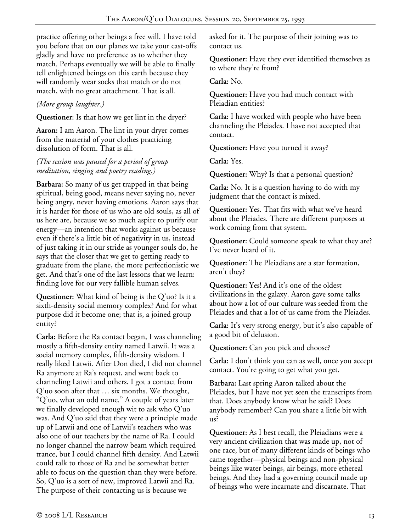practice offering other beings a free will. I have told you before that on our planes we take your cast-offs gladly and have no preference as to whether they match. Perhaps eventually we will be able to finally tell enlightened beings on this earth because they will randomly wear socks that match or do not match, with no great attachment. That is all.

## *(More group laughter.)*

**Questioner:** Is that how we get lint in the dryer?

**Aaron:** I am Aaron. The lint in your dryer comes from the material of your clothes practicing dissolution of form. That is all.

### *(The session was paused for a period of group meditation, singing and poetry reading.)*

**Barbara:** So many of us get trapped in that being spiritual, being good, means never saying no, never being angry, never having emotions. Aaron says that it is harder for those of us who are old souls, as all of us here are, because we so much aspire to purify our energy—an intention that works against us because even if there's a little bit of negativity in us, instead of just taking it in our stride as younger souls do, he says that the closer that we get to getting ready to graduate from the plane, the more perfectionistic we get. And that's one of the last lessons that we learn: finding love for our very fallible human selves.

**Questioner:** What kind of being is the Q'uo? Is it a sixth-density social memory complex? And for what purpose did it become one; that is, a joined group entity?

**Carla:** Before the Ra contact began, I was channeling mostly a fifth-density entity named Latwii. It was a social memory complex, fifth-density wisdom. I really liked Latwii. After Don died, I did not channel Ra anymore at Ra's request, and went back to channeling Latwii and others. I got a contact from Q'uo soon after that … six months. We thought, "Q'uo, what an odd name." A couple of years later we finally developed enough wit to ask who Q'uo was. And Q'uo said that they were a principle made up of Latwii and one of Latwii's teachers who was also one of our teachers by the name of Ra. I could no longer channel the narrow beam which required trance, but I could channel fifth density. And Latwii could talk to those of Ra and be somewhat better able to focus on the question than they were before. So, Q'uo is a sort of new, improved Latwii and Ra. The purpose of their contacting us is because we

asked for it. The purpose of their joining was to contact us.

**Questioner:** Have they ever identified themselves as to where they're from?

**Carla:** No.

**Questioner:** Have you had much contact with Pleiadian entities?

**Carla:** I have worked with people who have been channeling the Pleiades. I have not accepted that contact.

**Questioner:** Have you turned it away?

**Carla:** Yes.

**Questioner:** Why? Is that a personal question?

**Carla:** No. It is a question having to do with my judgment that the contact is mixed.

**Questioner:** Yes. That fits with what we've heard about the Pleiades. There are different purposes at work coming from that system.

**Questioner:** Could someone speak to what they are? I've never heard of it.

**Questioner:** The Pleiadians are a star formation, aren't they?

**Questioner:** Yes! And it's one of the oldest civilizations in the galaxy. Aaron gave some talks about how a lot of our culture was seeded from the Pleiades and that a lot of us came from the Pleiades.

**Carla:** It's very strong energy, but it's also capable of a good bit of delusion.

**Questioner:** Can you pick and choose?

**Carla:** I don't think you can as well, once you accept contact. You're going to get what you get.

**Barbara:** Last spring Aaron talked about the Pleiades, but I have not yet seen the transcripts from that. Does anybody know what he said? Does anybody remember? Can you share a little bit with us?

**Questioner:** As I best recall, the Pleiadians were a very ancient civilization that was made up, not of one race, but of many different kinds of beings who came together—physical beings and non-physical beings like water beings, air beings, more ethereal beings. And they had a governing council made up of beings who were incarnate and discarnate. That